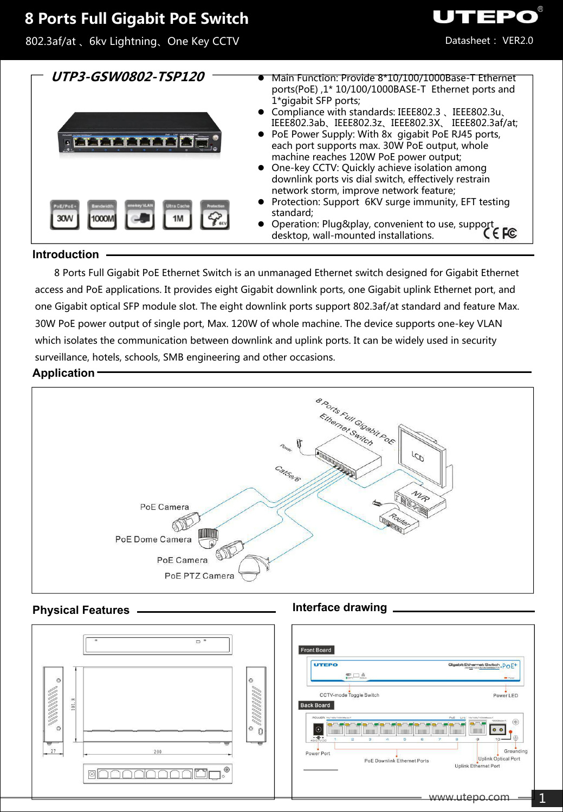# **8 Ports Full Gigabit PoE Switch**

802.3af/at 、6kv Lightning、One Key CCTV



• Operation: Plug&play, convenient to use, support desktop, wall-mounted installations.

Datasheet: VER2.0

IEPO

#### **Introduction**

8 Ports Full Gigabit PoE Ethernet Switch is an unmanaged Ethernet switch designed for Gigabit Ethernet access and PoE applications. It provides eight Gigabit downlink ports, one Gigabit uplink Ethernet port, and one Gigabit optical SFP module slot. The eight downlink ports support 802.3af/at standard and feature Max. 30W PoE power output of single port, Max. 120W of whole machine. The device supports one-key VLAN which isolates the communication between downlink and uplink ports. It can be widely used in security surveillance, hotels, schools, SMB engineering and other occasions.

#### **Application**



### **Physical Features Interface drawing**.

| $\Box$ $\degree$                                                                                                                                                          | <b>Front Board</b><br>Gigabit Ethernet Switch . POE <sup>+</sup><br><b>UTEPO</b>                                                                                                                                                                                                                                                                                                                                             |
|---------------------------------------------------------------------------------------------------------------------------------------------------------------------------|------------------------------------------------------------------------------------------------------------------------------------------------------------------------------------------------------------------------------------------------------------------------------------------------------------------------------------------------------------------------------------------------------------------------------|
| $\circ$<br>$\circ$<br>$\scriptstyle\sim$<br>1999999999<br>$\infty$<br>101.<br>◇<br>$\odot$<br>$\circledcirc$<br>$\mathbf{0}$<br>ੱਚ<br><b>STATE</b><br>ਚ<br>27<br>200<br>◉ | $\overset{\text{dD}}{\underset{\text{fccro}}{\sim}}$<br><b>BB</b> Power<br>CCTV-mode Toggle Switch<br>Power LED<br><b>Back Board</b><br>POWER 10/100/1000Base-T<br>Poll Link 10/100/1000Base-T<br>$^{\circledR}$<br>1000Base-K<br>$\epsilon$<br>$\circ$<br>$-48.67\times100$<br>$\oplus$<br>$30 -$<br>Grounding<br>Power Port<br>Uplink Optical Port<br>PoE Downlink Ethernet Ports<br>Uplink Ethernet Port<br>www.utepo.com |

1